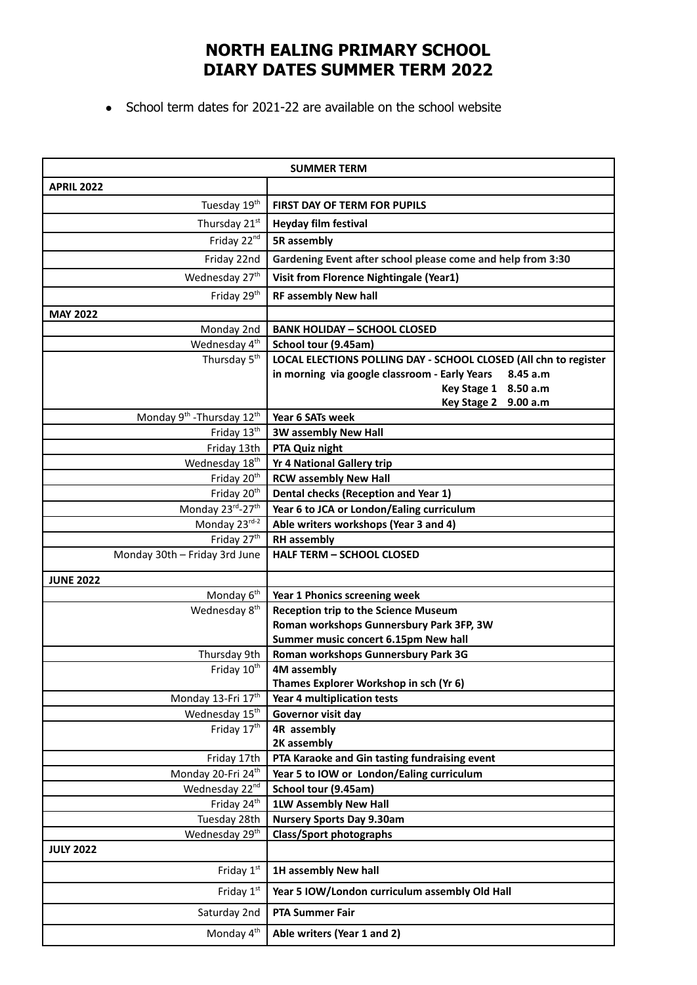## **NORTH EALING PRIMARY SCHOOL DIARY DATES SUMMER TERM 2022**

• School term dates for 2021-22 are available on the school website

|                                                    | <b>SUMMER TERM</b>                                                                |
|----------------------------------------------------|-----------------------------------------------------------------------------------|
| <b>APRIL 2022</b>                                  |                                                                                   |
| Tuesday 19 <sup>th</sup>                           | <b>FIRST DAY OF TERM FOR PUPILS</b>                                               |
| Thursday 21st                                      | Heyday film festival                                                              |
| Friday 22 <sup>nd</sup>                            | 5R assembly                                                                       |
| Friday 22nd                                        | Gardening Event after school please come and help from 3:30                       |
|                                                    |                                                                                   |
| Wednesday 27 <sup>th</sup>                         | Visit from Florence Nightingale (Year1)                                           |
| Friday 29 <sup>th</sup>                            | <b>RF assembly New hall</b>                                                       |
| <b>MAY 2022</b>                                    |                                                                                   |
| Monday 2nd                                         | <b>BANK HOLIDAY - SCHOOL CLOSED</b>                                               |
| Wednesday 4 <sup>th</sup>                          | School tour (9.45am)                                                              |
| Thursday 5 <sup>th</sup>                           | LOCAL ELECTIONS POLLING DAY - SCHOOL CLOSED (All chn to register                  |
|                                                    | in morning via google classroom - Early Years<br>8.45 a.m<br>Key Stage 1 8.50 a.m |
|                                                    | Key Stage 2 9.00 a.m                                                              |
| Monday 9 <sup>th</sup> - Thursday 12 <sup>th</sup> | Year 6 SATs week                                                                  |
| Friday 13th                                        | <b>3W assembly New Hall</b>                                                       |
| Friday 13th                                        | PTA Quiz night                                                                    |
| Wednesday 18 <sup>th</sup>                         | <b>Yr 4 National Gallery trip</b>                                                 |
| Friday 20 <sup>th</sup>                            | <b>RCW assembly New Hall</b>                                                      |
| Friday 20 <sup>th</sup>                            | Dental checks (Reception and Year 1)                                              |
| Monday 23rd-27th                                   | Year 6 to JCA or London/Ealing curriculum                                         |
| Monday 23rd-2                                      | Able writers workshops (Year 3 and 4)                                             |
| Friday 27 <sup>th</sup>                            | <b>RH</b> assembly                                                                |
| Monday 30th - Friday 3rd June                      | <b>HALF TERM - SCHOOL CLOSED</b>                                                  |
| <b>JUNE 2022</b>                                   |                                                                                   |
| Monday <sub>6<sup>th</sup></sub>                   | Year 1 Phonics screening week                                                     |
| Wednesday 8 <sup>th</sup>                          | <b>Reception trip to the Science Museum</b>                                       |
|                                                    | Roman workshops Gunnersbury Park 3FP, 3W                                          |
|                                                    | Summer music concert 6.15pm New hall                                              |
| Thursday 9th                                       | Roman workshops Gunnersbury Park 3G                                               |
| Friday 10th                                        | 4M assembly                                                                       |
|                                                    | Thames Explorer Workshop in sch (Yr 6)                                            |
| Monday 13-Fri 17th<br>Wednesday 15 <sup>th</sup>   | Year 4 multiplication tests                                                       |
| Friday 17th                                        | Governor visit day<br>4R assembly                                                 |
|                                                    | 2K assembly                                                                       |
| Friday 17th                                        | PTA Karaoke and Gin tasting fundraising event                                     |
| Monday 20-Fri 24 <sup>th</sup>                     | Year 5 to IOW or London/Ealing curriculum                                         |
| Wednesday 22nd                                     | School tour (9.45am)                                                              |
| Friday 24 <sup>th</sup>                            | <b>1LW Assembly New Hall</b>                                                      |
| Tuesday 28th                                       | <b>Nursery Sports Day 9.30am</b>                                                  |
| Wednesday 29 <sup>th</sup>                         | <b>Class/Sport photographs</b>                                                    |
| <b>JULY 2022</b>                                   |                                                                                   |
| Friday 1st                                         | 1H assembly New hall                                                              |
| Friday 1st                                         | Year 5 IOW/London curriculum assembly Old Hall                                    |
| Saturday 2nd                                       | <b>PTA Summer Fair</b>                                                            |
| Monday 4 <sup>th</sup>                             | Able writers (Year 1 and 2)                                                       |